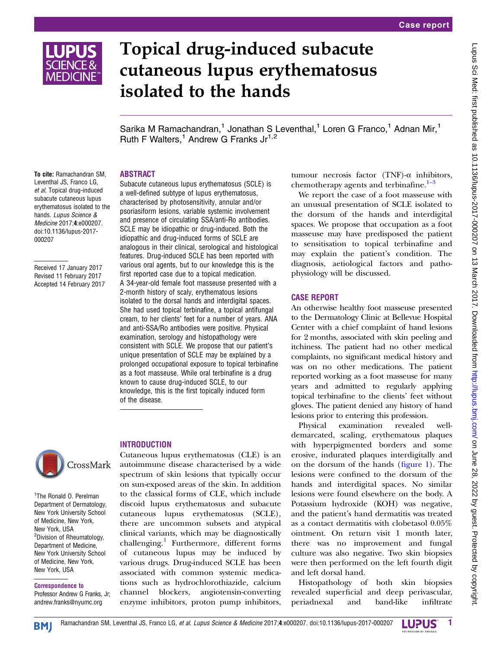

# Topical drug-induced subacute cutaneous lupus erythematosus isolated to the hands

Sarika M Ramachandran,<sup>1</sup> Jonathan S Leventhal,<sup>1</sup> Loren G Franco,<sup>1</sup> Adnan Mir,<sup>1</sup> Ruth F Walters,<sup>1</sup> Andrew G Franks  $Jr^{1,2}$ 

## ABSTRACT

To cite: Ramachandran SM, Leventhal JS, Franco LG, et al. Topical drug-induced subacute cutaneous lupus erythematosus isolated to the hands. Lupus Science & Medicine 2017;4:e000207. doi:10.1136/lupus-2017- 000207

Received 17 January 2017 Revised 11 February 2017 Accepted 14 February 2017

Subacute cutaneous lupus erythematosus (SCLE) is a well-defined subtype of lupus erythematosus, characterised by photosensitivity, annular and/or psoriasiform lesions, variable systemic involvement and presence of circulating SSA/anti-Ro antibodies. SCLE may be idiopathic or drug-induced. Both the idiopathic and drug-induced forms of SCLE are analogous in their clinical, serological and histological features. Drug-induced SCLE has been reported with various oral agents, but to our knowledge this is the first reported case due to a topical medication. A 34-year-old female foot masseuse presented with a 2-month history of scaly, erythematous lesions isolated to the dorsal hands and interdigital spaces. She had used topical terbinafine, a topical antifungal cream, to her clients' feet for a number of years. ANA and anti-SSA/Ro antibodies were positive. Physical examination, serology and histopathology were consistent with SCLE. We propose that our patient's unique presentation of SCLE may be explained by a prolonged occupational exposure to topical terbinafine as a foot masseuse. While oral terbinafine is a drug known to cause drug-induced SCLE, to our knowledge, this is the first topically induced form of the disease.



#### <sup>1</sup>The Ronald O. Perelman Department of Dermatology, New York University School of Medicine, New York, New York, USA <sup>2</sup>Division of Rheumatology, Department of Medicine, New York University School of Medicine, New York, New York, USA

Correspondence to Professor Andrew G Franks, Jr; andrew.franks@nyumc.org

## **INTRODUCTION**

Cutaneous lupus erythematosus (CLE) is an autoimmune disease characterised by a wide spectrum of skin lesions that typically occur on sun-exposed areas of the skin. In addition to the classical forms of CLE, which include discoid lupus erythematosus and subacute cutaneous lupus erythematosus (SCLE), there are uncommon subsets and atypical clinical variants, which may be diagnostically challenging.<sup>[1](#page-2-0)</sup> Furthermore, different forms of cutaneous lupus may be induced by various drugs. Drug-induced SCLE has been associated with common systemic medications such as hydrochlorothiazide, calcium channel blockers, angiotensin-converting enzyme inhibitors, proton pump inhibitors,

tumour necrosis factor (TNF)-α inhibitors, chemotherapy agents and terbinafine.<sup>1-[3](#page-2-0)</sup>

We report the case of a foot masseuse with an unusual presentation of SCLE isolated to the dorsum of the hands and interdigital spaces. We propose that occupation as a foot masseuse may have predisposed the patient to sensitisation to topical terbinafine and may explain the patient's condition. The diagnosis, aetiological factors and pathophysiology will be discussed.

## CASE REPORT

An otherwise healthy foot masseuse presented to the Dermatology Clinic at Bellevue Hospital Center with a chief complaint of hand lesions for 2 months, associated with skin peeling and itchiness. The patient had no other medical complaints, no significant medical history and was on no other medications. The patient reported working as a foot masseuse for many years and admitted to regularly applying topical terbinafine to the clients' feet without gloves. The patient denied any history of hand lesions prior to entering this profession.

Physical examination revealed welldemarcated, scaling, erythematous plaques with hyperpigmented borders and some erosive, indurated plaques interdigitally and on the dorsum of the hands (fi[gure 1](#page-1-0)). The lesions were confined to the dorsum of the hands and interdigital spaces. No similar lesions were found elsewhere on the body. A Potassium hydroxide (KOH) was negative, and the patient's hand dermatitis was treated as a contact dermatitis with clobetasol 0.05% ointment. On return visit 1 month later, there was no improvement and fungal culture was also negative. Two skin biopsies were then performed on the left fourth digit and left dorsal hand.

Histopathology of both skin biopsies revealed superficial and deep perivascular, periadnexal and band-like infiltrate

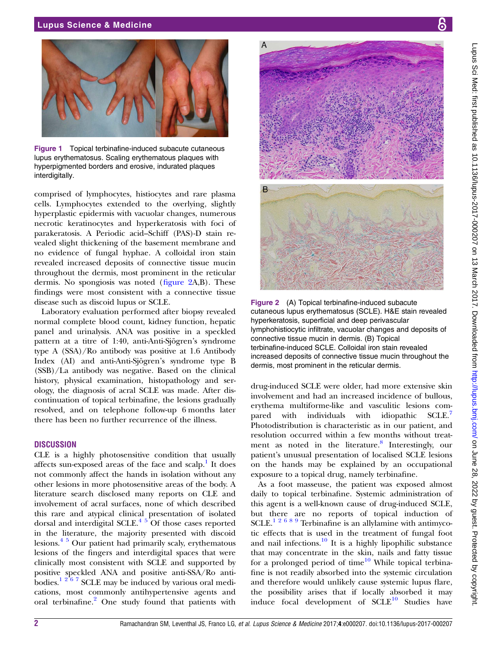#### <span id="page-1-0"></span>Lupus Science & Medicine





Figure 1 Topical terbinafine-induced subacute cutaneous lupus erythematosus. Scaling erythematous plaques with hyperpigmented borders and erosive, indurated plaques interdigitally.

comprised of lymphocytes, histiocytes and rare plasma cells. Lymphocytes extended to the overlying, slightly hyperplastic epidermis with vacuolar changes, numerous necrotic keratinocytes and hyperkeratosis with foci of parakeratosis. A Periodic acid–Schiff (PAS)-D stain revealed slight thickening of the basement membrane and no evidence of fungal hyphae. A colloidal iron stain revealed increased deposits of connective tissue mucin throughout the dermis, most prominent in the reticular dermis. No spongiosis was noted (figure 2A,B). These findings were most consistent with a connective tissue disease such as discoid lupus or SCLE.

Laboratory evaluation performed after biopsy revealed normal complete blood count, kidney function, hepatic panel and urinalysis. ANA was positive in a speckled pattern at a titre of 1:40, anti-Anti-Sjögren's syndrome type A (SSA)/Ro antibody was positive at 1.6 Antibody Index (AI) and anti-Anti-Sjögren's syndrome type B (SSB)/La antibody was negative. Based on the clinical history, physical examination, histopathology and serology, the diagnosis of acral SCLE was made. After discontinuation of topical terbinafine, the lesions gradually resolved, and on telephone follow-up 6 months later there has been no further recurrence of the illness.

#### **DISCUSSION**

CLE is a highly photosensitive condition that usually affects sun-exposed areas of the face and scalp.<sup>[1](#page-2-0)</sup> It does not commonly affect the hands in isolation without any other lesions in more photosensitive areas of the body. A literature search disclosed many reports on CLE and involvement of acral surfaces, none of which described this rare and atypical clinical presentation of isolated dorsal and interdigital SCLE. $45$  Of those cases reported in the literature, the majority presented with discoid lesions.[4 5](#page-2-0) Our patient had primarily scaly, erythematous lesions of the fingers and interdigital spaces that were clinically most consistent with SCLE and supported by positive speckled ANA and positive anti-SSA/Ro antibodies. $1267$  SCLE may be induced by various oral medications, most commonly antihypertensive agents and oral terbinafine.<sup>[2](#page-2-0)</sup> One study found that patients with



Figure 2 (A) Topical terbinafine-induced subacute cutaneous lupus erythematosus (SCLE). H&E stain revealed hyperkeratosis, superficial and deep perivascular lymphohistiocytic infiltrate, vacuolar changes and deposits of connective tissue mucin in dermis. (B) Topical terbinafine-induced SCLE. Colloidal iron stain revealed increased deposits of connective tissue mucin throughout the dermis, most prominent in the reticular dermis.

drug-induced SCLE were older, had more extensive skin involvement and had an increased incidence of bullous, erythema multiforme-like and vasculitic lesions com-pared with individuals with idiopathic SCLE.<sup>[7](#page-2-0)</sup> Photodistribution is characteristic as in our patient, and resolution occurred within a few months without treatment as noted in the literature. $\delta$  Interestingly, our patient's unusual presentation of localised SCLE lesions on the hands may be explained by an occupational exposure to a topical drug, namely terbinafine.

As a foot masseuse, the patient was exposed almost daily to topical terbinafine. Systemic administration of this agent is a well-known cause of drug-induced SCLE, but there are no reports of topical induction of SCLE.<sup>[12689](#page-2-0)</sup> Terbinafine is an allylamine with antimycotic effects that is used in the treatment of fungal foot and nail infections. $\frac{10}{10}$  $\frac{10}{10}$  $\frac{10}{10}$  It is a highly lipophilic substance that may concentrate in the skin, nails and fatty tissue for a prolonged period of time $10$  While topical terbinafine is not readily absorbed into the systemic circulation and therefore would unlikely cause systemic lupus flare, the possibility arises that if locally absorbed it may induce focal development of  $SCLE^{10}$  $SCLE^{10}$  $SCLE^{10}$  Studies have